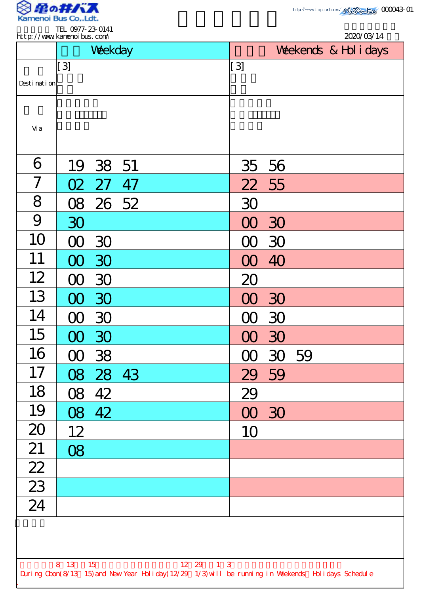

|                 |                        | Weekday  |    |                  | 2020/03/14<br>Weekends & Hol i days |  |  |  |  |
|-----------------|------------------------|----------|----|------------------|-------------------------------------|--|--|--|--|
|                 | $\left[3\right]$       |          |    | $\left[3\right]$ |                                     |  |  |  |  |
| Desti nati on   |                        |          |    |                  |                                     |  |  |  |  |
| Vi a            |                        |          |    |                  |                                     |  |  |  |  |
| 6               |                        | 19 38 51 |    | 35               | 56                                  |  |  |  |  |
| 7               | O2                     | 27       | 47 | 22               | 55                                  |  |  |  |  |
| 8               |                        | 08 26 52 |    | 30               |                                     |  |  |  |  |
| 9               | 30                     |          |    |                  | 30                                  |  |  |  |  |
| 10              | M                      | 30       |    |                  | 30                                  |  |  |  |  |
| 11              |                        | 30       |    |                  | 40                                  |  |  |  |  |
| 12              |                        | 30       |    | 20               |                                     |  |  |  |  |
| 13              |                        | 00 30    |    | 00 30            |                                     |  |  |  |  |
| 14              | $\infty$               | 30       |    | $\infty$         | 30                                  |  |  |  |  |
| 15              | $\infty$               | 30       |    | $\infty$         | 30                                  |  |  |  |  |
| 16              |                        | 00 38    |    |                  | 00 30 59                            |  |  |  |  |
| 17              |                        | 08 28 43 |    | 29 59            |                                     |  |  |  |  |
| 18              | $\overline{\text{OS}}$ | 42       |    | 29               |                                     |  |  |  |  |
| 19              |                        | 08 42    |    | 00 30            |                                     |  |  |  |  |
| 20              | 12                     |          |    | 10               |                                     |  |  |  |  |
| 21              | 08                     |          |    |                  |                                     |  |  |  |  |
| $\boxed{22}$    |                        |          |    |                  |                                     |  |  |  |  |
| $\overline{23}$ |                        |          |    |                  |                                     |  |  |  |  |
| $\overline{24}$ |                        |          |    |                  |                                     |  |  |  |  |
|                 |                        |          |    |                  |                                     |  |  |  |  |
|                 | 8 13 15                |          |    | 12 29 1 3        |                                     |  |  |  |  |